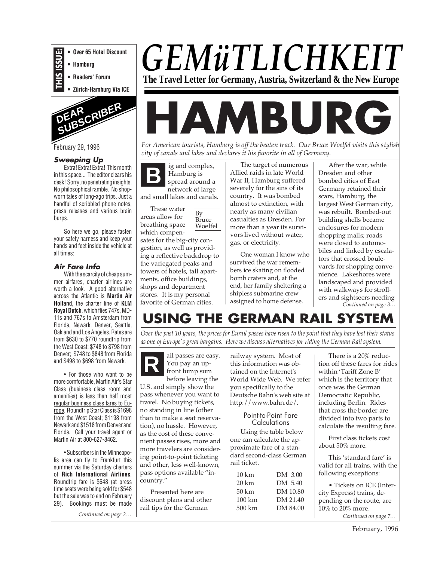- **THIS ISSUE: • Over 65 Hotel Discount**
- **Hamburg**
- **Readers' Forum**
- **Zürich-Hamburg Via ICE**



#### **Sweeping Up**

Extra! Extra! Extra! This month in this space... The editor clears his desk! Sorry, no penetrating insights. No philosophical ramble. No shopworn tales of long-ago trips. Just a handful of scribbled phone notes, press releases and various brain burps.

So here we go, please fasten your safety harness and keep your hands and feet inside the vehicle at all times:

#### **Air Fare Info**

With the scarcity of cheap summer airfares, charter airlines are worth a look. A good alternative across the Atlantic is **Martin Air Holland**, the charter line of **KLM Royal Dutch**, which flies 747s, MD-11s and 767s to Amsterdam from Florida, Newark, Denver, Seattle, Oakland and Los Angeles. Rates are from \$630 to \$770 roundtrip from the West Coast; \$748 to \$798 from Denver; \$748 to \$848 from Florida and \$498 to \$698 from Newark.

• For those who want to be more comfortable, Martin Air's Star Class (business class room and amenities) is less than half most regular business class fares to Europe. Roundtrip Star Class is \$1698 from the West Coast; \$1198 from Newark and \$1518 from Denver and Florida. Call your travel agent or Martin Air at 800-627-8462.

• Subscribers in the Minneapolis area can fly to Frankfurt this summer via the Saturday charters of **Rich International Airlines**. Roundtrip fare is \$648 (at press time seats were being sold for \$548 but the sale was to end on February 29). Bookings must be made

*Continued on page 2…*

## *GEMüTLICHKEIT* **The Travel Letter for Germany, Austria, Switzerland & the New Europe**

# **HAMBURG**

February 29, 1996 *For American tourists, Hamburg is off the beaten track. Our Bruce Woelfel visits this stylish city of canals and lakes and declares it his favorite in all of Germany.*

> **B** ig and complex, Hamburg is spread around a network of large and small lakes and canals.

These water areas allow for breathing space which compensates for the big-city congestion, as well as providing a reflective backdrop to the variegated peaks and towers of hotels, tall apartments, office buildings, shops and department stores. It is my personal favorite of German cities. By Bruce Woelfel

The target of numerous Allied raids in late World War II, Hamburg suffered severely for the sins of its country. It was bombed almost to extinction, with nearly as many civilian casualties as Dresden. For more than a year its survivors lived without water, gas, or electricity.

One woman I know who survived the war remembers ice skating on flooded bomb craters and, at the end, her family sheltering a shipless submarine crew assigned to home defense.

After the war, while Dresden and other bombed cities of East Germany retained their scars, Hamburg, the largest West German city, was rebuilt. Bombed-out building shells became enclosures for modern shopping malls; roads were closed to automobiles and linked by escalators that crossed boulevards for shopping convenience. Lakeshores were landscaped and provided with walkways for strollers and sightseers needing *Continued on page 3…*

## **USING THE GERMAN RAIL SYSTEI**

*Over the past 10 years, the prices for Eurail passes have risen to the point that they have lost their status as one of Europe's great bargains. Here we discuss alternatives for riding the German Rail system.*



front lump sum before leaving the

U.S. and simply show the pass whenever you want to travel. No buying tickets, no standing in line (other than to make a seat reservation), no hassle. However, as the cost of these convenient passes rises, more and more travelers are considering point-to-point ticketing and other, less well-known, pass options available "incountry."

Presented here are discount plans and other rail tips for the German

**R** ail passes are easy. railway system. Most of You pay an up-<br>front lump sum tained on the Internet's this information was obtained on the Internet's World Wide Web. We refer you specifically to the Deutsche Bahn's web site at http://www.bahn.de/.

#### Point-to-Point Fare **Calculations**

Using the table below one can calculate the approximate fare of a standard second-class German rail ticket.

| 10 km             | DM 3.00  |
|-------------------|----------|
| 20 km             | DM 5.40  |
| 50 km             | DM 10.80 |
| $100 \mathrm{km}$ | DM 21.40 |
| 500 km            | DM 84.00 |
|                   |          |

There is a 20% reduction off these fares for rides within 'Tariff Zone B' which is the territory that once was the German Democratic Republic, including Berlin. Rides that cross the border are divided into two parts to calculate the resulting fare.

First class tickets cost about 50% more.

This 'standard fare' is valid for all trains, with the following exceptions:

• Tickets on ICE (Intercity Express) trains, depending on the route, are 10% to 20% more.

*Continued on page 7…*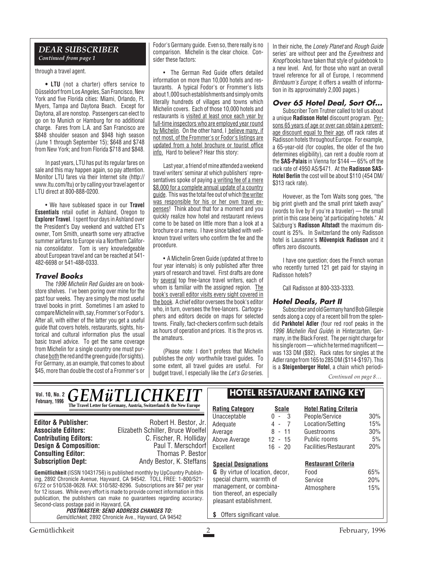#### *DEAR SUBSCRIBER Continued from page 1*

through a travel agent.

**• LTU** (not a charter) offers service to Düsseldorf from Los Angeles, San Francisco, New York and five Florida cities: Miami, Orlando, Ft. Myers, Tampa and Daytona Beach. Except for Daytona, all are nonstop. Passengers can elect to go on to Munich or Hamburg for no additional charge. Fares from L.A. and San Francisco are \$848 shoulder season and \$948 high season (June 1 through September 15); \$648 and \$748 from New York; and from Florida \$718 and \$848.

In past years, LTU has put its regular fares on sale and this may happen again, so pay attention. Monitor LTU fares via their Internet site (http:// www.ltu.com/ltu) or by calling your travel agent or LTU direct at 800-888-0200.

• We have subleased space in our **Travel Essentials** retail outlet in Ashland, Oregon to **Explorer Travel**. I spent four days in Ashland over the President's Day weekend and watched ET's owner, Tom Smith, unearth some very attractive summer airfares to Europe via a Northern California consolidator. Tom is very knowledgeable about European travel and can be reached at 541- 482-6698 or 541-488-0333.

#### **Travel Books**

The 1996 Michelin Red Guides are on bookstore shelves. I've been poring over mine for the past four weeks. They are simply the most useful travel books in print. Sometimes I am asked to compare Michelin with, say, Frommer's or Fodor's. After all, with either of the latter you get a useful guide that covers hotels, restaurants, sights, historical and cultural information plus the usual basic travel advice. To get the same coverage from Michelin for a single country one must purchase both the red and the green guide (for sights). For Germany, as an example, that comes to about \$45, more than double the cost of a Frommer's or Fodor's Germany guide. Even so, there really is no comparison. Michelin is the clear choice. Consider these factors:

• The German Red Guide offers detailed information on more than 10,000 hotels and restaurants. A typical Fodor's or Frommer's lists about 1,000 such establishments and simply omits literally hundreds of villages and towns which Michelin covers. Each of those 10,000 hotels and restaurants is visited at least once each year by full-time inspectors who are employed year round by Michelin. On the other hand, I believe many, if not most, of the Frommer's or Fodor's listings are updated from a hotel brochure or tourist office info. Hard to believe? Hear this story:

Last year, a friend of mine attended a weekend travel writers' seminar at which publishers' representatives spoke of paying a writing fee of a mere \$8,000 for a complete annual update of a country guide. This was the total fee out of which the writer was responsible for his or her own travel expenses! Think about that for a moment and you quickly realize how hotel and restaurant reviews come to be based on little more than a look at a brochure or a menu. I have since talked with wellknown travel writers who confirm the fee and the procedure.

• A Michelin Green Guide (updated at three to four year intervals) is only published after three years of research and travel. First drafts are done by several top free-lance travel writers, each of whom is familiar with the assigned region. The book's overall editor visits every sight covered in the book. A chief editor oversees the book's editor who, in turn, oversees the free-lancers. Cartographers and editors decide on maps for selected towns. Finally, fact-checkers confirm such details as hours of operation and prices. It is the pros vs. the amateurs.

(Please note: I don't profess that Michelin publishes the only worthwhile travel guides. To some extent, all travel guides are useful. For budget travel, I especially like the Let's Go series.

In their niche, the Lonely Planet and Rough Guide series' are without peer and the Eyewitness and Knopf books have taken that style of guidebook to a new level. And, for those who want an overall travel reference for all of Europe, I recommend Birnbaum's Europe; it offers a wealth of information in its approximately 2,000 pages.)

#### **Over 65 Hotel Deal, Sort Of...**

Subscriber Tom Trutner called to tell us about a unique **Radisson Hotel** discount program. Persons 65 years of age or over can obtain a percentage discount equal to their age, off rack rates at Radisson hotels throughout Europe. For example, a 65-year-old (for couples, the older of the two determines eligibility), can rent a double room at the **SAS-Palais** in Vienna for \$144 — 65% off the rack rate of 4950 AS/\$471. At the **Radisson SAS-Hotel Berlin** the cost will be about \$110 (454 DM/ \$313 rack rate).

However, as the Tom Waits song goes, "the big print giveth and the small print taketh away" (words to live by if you're a traveler) — the small print in this case being "at participating hotels." At Salzburg's **Radisson Altstadt** the maximum discount is 25%. In Switzerland the only Radisson hotel is Lausanne's **Mövenpick Radisson** and it offers zero discounts.

I have one question; does the French woman who recently turned 121 get paid for staying in Radisson hotels?

Call Radisson at 800-333-3333.

#### **Hotel Deals, Part II**

Subscriber and old Germany hand Bob Gillespie sends along a copy of a recent bill from the splendid **Parkhotel Adler** (four red roof peaks in the 1996 Michelin Red Guide) in Hinterzarten, Germany, in the Black Forest. The per night charge for his single room — which he termed magnificent was 133 DM (\$92). Rack rates for singles at the Adler range from 165 to 285 DM (\$114-\$197). This is a **Steigenberger Hotel**, a chain which periodi-

*Continued on page 8…*

| <b>GEMÜTLICHKEIT</b><br><b>Vol. 10, No. 2</b><br>February, 1996 |                                                                                                             | <b>HOTEL RESTAURANT RATING KEY</b>     |              |                              |     |
|-----------------------------------------------------------------|-------------------------------------------------------------------------------------------------------------|----------------------------------------|--------------|------------------------------|-----|
|                                                                 | The Travel Letter for Germany, Austria, Switzerland & the New Europe                                        | <b>Rating Category</b>                 | <b>Scale</b> | <b>Hotel Rating Criteria</b> |     |
|                                                                 |                                                                                                             | Unacceptable                           | $0 - 3$      | People/Service               | 30% |
| <b>Editor &amp; Publisher:</b>                                  | Robert H. Bestor, Jr.                                                                                       | Adequate                               | $4 - 7$      | Location/Setting             | 15% |
| <b>Associate Editors:</b>                                       | Elizabeth Schiller, Bruce Woelfel                                                                           | Average                                | $8 - 11$     | Guestrooms                   | 30% |
| <b>Contributing Editors:</b>                                    | C. Fischer, R. Holliday                                                                                     | Above Average                          | $12 - 15$    | Public rooms                 | 5%  |
| <b>Design &amp; Composition:</b>                                | Paul T. Merschdorf                                                                                          | Excellent                              | $16 - 20$    | Facilities/Restaurant        | 20% |
| <b>Consulting Editor:</b>                                       | Thomas P. Bestor                                                                                            |                                        |              |                              |     |
| <b>Subscription Dept:</b>                                       | Andy Bestor, K. Steffans                                                                                    | <b>Special Designations</b>            |              | <b>Restaurant Criteria</b>   |     |
|                                                                 | <b>Gemütlichkeit</b> (ISSN 10431756) is published monthly by UpCountry Publish-                             | <b>G</b> By virtue of location, decor, |              | Food                         | 65% |
|                                                                 | ing, 2892 Chronicle Avenue, Hayward, CA 94542. TOLL FREE: 1-800/521-                                        | special charm, warmth of               |              | Service                      | 20% |
|                                                                 | 6722 or 510/538-0628. FAX: 510/582-8296. Subscriptions are \$67 per year                                    | management, or combina-                |              | Atmosphere                   | 15% |
|                                                                 | for 12 issues. While every effort is made to provide correct information in this                            | tion thereof, an especially            |              |                              |     |
| Second-class postage paid in Hayward, CA.                       | publication, the publishers can make no guarantees regarding accuracy.                                      | pleasant establishment.                |              |                              |     |
|                                                                 | <i><b>POSTMASTER: SEND ADDRESS CHANGES TO:</b></i><br>Gemütlichkeit, 2892 Chronicle Ave., Hayward, CA 94542 | Offers significant value.              |              |                              |     |
|                                                                 |                                                                                                             |                                        |              |                              |     |
| Gemütlichkeit                                                   |                                                                                                             |                                        |              | February, 1996               |     |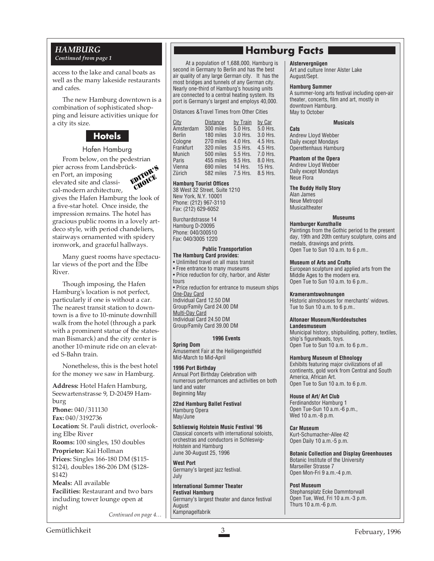access to the lake and canal boats as well as the many lakeside restaurants and cafes.

The new Hamburg downtown is a combination of sophisticated shopping and leisure activities unique for a city its size.

### **Hotels**

#### Hafen Hamburg

From below, on the pedestrian pier across from Landsbrücken Port, an imposing elevated site and classical-modern architecture, gives the Hafen Hamburg the look of a five-star hotel. Once inside, the impression remains. The hotel has gracious public rooms in a lovely artdeco style, with period chandeliers, stairways ornamented with spidery ironwork, and graceful hallways. EDITOR'S CHOICE

Many guest rooms have spectacular views of the port and the Elbe River.

Though imposing, the Hafen Hamburg's location is not perfect, particularly if one is without a car. The nearest transit station to downtown is a five to 10-minute downhill walk from the hotel (through a park with a prominent statue of the statesman Bismarck) and the city center is another 10-minute ride on an elevated S-Bahn train.

Nonetheless, this is the best hotel for the money we saw in Hamburg.

**Address:** Hotel Hafen Hamburg, Seewartenstrasse 9, D-20459 Hamburg **Phone:** 040/311130 **Fax:** 040/3192736 **Location:** St. Pauli district, overlooking Elbe River **Rooms:** 100 singles, 150 doubles **Proprietor:** Kai Hollman **Prices:** Singles 166-180 DM (\$115- \$124), doubles 186-206 DM (\$128- \$142) **Meals:** All available **Facilities:** Restaurant and two bars including tower lounge open at night

*Continued on page 4…*

## *GRANDURG* **Hamburg Facts Hamburg Facts** *Continued from page 1*

*Continued from page 1* At a population of 1,688,000, Hamburg is second in Germany to Berlin and has the best air quality of any large German city. It has the most bridges and tunnels of any German city. Nearly one-third of Hamburg's housing units are connected to a central heating system. Its port is Germany's largest and employs 40,000.

Distances &Travel Times from Other Cities

| City          | <b>Distance</b> | by Train | by Car   |
|---------------|-----------------|----------|----------|
| Amsterdam     | 300 miles       | 5.0 Hrs. | 5.0 Hrs. |
| <b>Berlin</b> | 180 miles       | 3.0 Hrs. | 3.0 Hrs. |
| Cologne       | 270 miles       | 4.0 Hrs. | 4.5 Hrs. |
| Frankfurt     | 320 miles       | 3.5 Hrs. | 4.5 Hrs. |
| <b>Munich</b> | 500 miles       | 5.5 Hrs. | 7.0 Hrs. |
| Paris         | 455 miles       | 9.5 Hrs. | 8.0 Hrs. |
| Vienna        | 690 miles       | 14 Hrs.  | 15 Hrs.  |
| Zürich        | 582 miles       | 7.5 Hrs. | 8.5 Hrs. |

#### **Hamburg Tourist Offices**

38 West 32 Street, Suite 1210 New York, N.Y. 10001 Phone: (212) 967-3110 Fax: (212) 629-6052

Burchardstrasse 14 Hamburg D-20095 Phone: 040/300510 Fax: 040/3005 1220

 **Public Transportation The Hamburg Card provides:** • Unlimited travel on all mass transit • Free entrance to many museums • Price reduction for city, harbor, and Alster tours • Price reduction for entrance to museum ships One-Day Card Individual Card 12.50 DM Group/Family Card 24.00 DM Multi-Day Card Individual Card 24.50 DM Group/Family Card 39.00 DM

#### **1996 Events**

**Spring Dom** Amusement Fair at the Heiligengeistfeld Mid-March to Mid-April

**1996 Port Birthday** Annual Port Birthday Celebration with numerous performances and activities on both land and water Beginning May

**22nd Hamburg Ballet Festival** Hamburg Opera May/June

**Schlieswig Holstein Music Festival '96** Classical concerts with international soloists, orchestras and conductors in Schleswig-Holstein and Hamburg June 30-August 25, 1996

**West Port** Germany's largest jazz festival. July

**International Summer Theater Festival Hamburg** Germany's largest theater and dance festival August Kampnagelfabrik

#### **Alstervergnügen**

Art and culture Inner Alster Lake August/Sept.

#### **Hamburg Summer**

A summer-long arts festival including open-air theater, concerts, film and art, mostly in downtown Hamburg. May to October

#### **Musicals**

**Cats** Andrew Lloyd Webber Daily except Mondays Operettenhaus Hamburg

**Phantom of the Opera** Andrew Lloyd Webber Daily except Mondays Neue Flora

**The Buddy Holly Story** Alan James Neue Metropol Musicaltheater

#### **Museums**

**Hamburger Kunsthalle** Paintings from the Gothic period to the present day, 19th and 20th century sculpture, coins and medals, drawings and prints. Open Tue to Sun 10 a.m. to 6 p.m..

#### **Museum of Arts and Crafts**

European sculpture and applied arts from the Middle Ages to the modern era. Open Tue to Sun 10 a.m. to 6 p.m..

#### **Krameramtswohnungen**

Historic almshouses for merchants' widows. Tue to Sun 10 a.m. to 6 p.m..

#### **Altonaer Museum/Norddeutsches**

**Landesmuseum** Municipal history, shipbuilding, pottery, textiles, ship's figureheads, toys. Open Tue to Sun 10 a.m. to 6 p.m..

#### **Hamburg Museum of Ethnology**

Exhibits featuring major civilizations of all continents, gold work from Central and South America, African Art. Open Tue to Sun 10 a.m. to 6 p.m.

**House of Art/ Art Club** Ferdinandstor Hamburg 1 Open Tue-Sun 10 a.m.-6 p.m., Wed 10 a.m.-8 p.m.

**Car Museum** Kurt-Schumacher-Allee 42 Open Daily 10 a.m.-5 p.m.

**Botanic Collection and Display Greenhouses** Botanic Institute of the University Marseiller Strasse 7 Open Mon-Fri 9 a.m.-4 p.m.

**Post Museum** Stephansplatz Ecke Dammtorwall Open Tue, Wed, Fri 10 a.m.-3 p.m. Thurs 10 a.m.-6 p.m.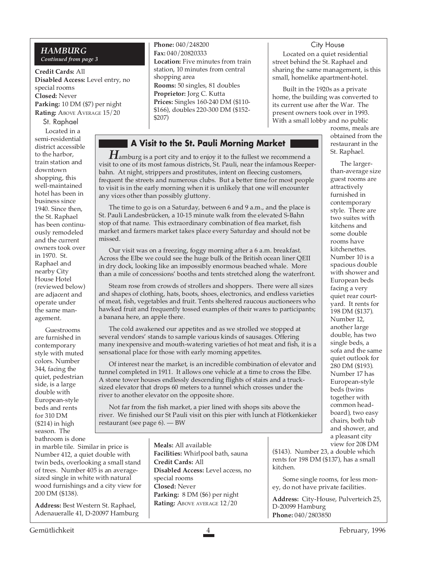#### *HAMBURG Continued from page 3*

**Credit Cards:** All **Disabled Access:** Level entry, no special rooms **Closed:** Never **Parking:** 10 DM (\$7) per night **Rating: ABOVE AVERAGE 15/20** 

St. Raphael Located in a semi-residential district accessible to the harbor, train station and downtown shopping, this well-maintained hotel has been in business since 1940. Since then, the St. Raphael has been continuously remodeled and the current owners took over in 1970. St. Raphael and nearby City House Hotel (reviewed below) are adjacent and operate under the same management.

Guestrooms are furnished in contemporary style with muted colors. Number 344, facing the quiet, pedestrian side, is a large double with European-style beds and rents for 310 DM (\$214) in high season. The bathroom is done

in marble tile. Similar in price is Number 412, a quiet double with twin beds, overlooking a small stand of trees. Number 405 is an averagesized single in white with natural wood furnishings and a city view for 200 DM (\$138).

**Address:** Best Western St. Raphael, Adenaueralle 41, D-20097 Hamburg **Phone:** 040/248200 **Fax:** 040/20820333 **Location:** Five minutes from train station, 10 minutes from central shopping area **Rooms:** 50 singles, 81 doubles **Proprietor:** Jorg C. Kutta **Prices:** Singles 160-240 DM (\$110- \$166), doubles 220-300 DM (\$152- \$207)

#### **A Visit to the St. Pauli Morning Market**

 $\boldsymbol{H}$ amburg is a port city and to enjoy it to the fullest we recommend a visit to one of its most famous districts, St. Pauli, near the infamous Reeperbahn. At night, strippers and prostitutes, intent on fleecing customers, frequent the streets and numerous clubs. But a better time for most people to visit is in the early morning when it is unlikely that one will encounter any vices other than possibly gluttony.

The time to go is on a Saturday, between 6 and 9 a.m., and the place is St. Pauli Landesbrücken, a 10-15 minute walk from the elevated S-Bahn stop of that name. This extraordinary combination of flea market, fish market and farmers market takes place every Saturday and should not be missed.

Our visit was on a freezing, foggy morning after a 6 a.m. breakfast. Across the Elbe we could see the huge bulk of the British ocean liner QEII in dry dock, looking like an impossibly enormous beached whale. More than a mile of concessions' booths and tents stretched along the waterfront.

Steam rose from crowds of strollers and shoppers. There were all sizes and shapes of clothing, hats, boots, shoes, electronics, and endless varieties of meat, fish, vegetables and fruit. Tents sheltered raucous auctioneers who hawked fruit and frequently tossed examples of their wares to participants; a banana here, an apple there.

The cold awakened our appetites and as we strolled we stopped at several vendors' stands to sample various kinds of sausages. Offering many inexpensive and mouth-watering varieties of hot meat and fish, it is a sensational place for those with early morning appetites.

Of interest near the market, is an incredible combination of elevator and tunnel completed in 1911. It allows one vehicle at a time to cross the Elbe. A stone tower houses endlessly descending flights of stairs and a trucksized elevator that drops 60 meters to a tunnel which crosses under the river to another elevator on the opposite shore.

Not far from the fish market, a pier lined with shops sits above the river. We finished our St Pauli visit on this pier with lunch at Flötkenkieker restaurant (see page 6). — BW

> **Meals:** All available **Facilities:** Whirlpool bath, sauna **Credit Cards:** All **Disabled Access:** Level access, no special rooms **Closed:** Never **Parking:** 8 DM (\$6) per night **Rating:** ABOVE AVERAGE 12/20

#### City House

Located on a quiet residential street behind the St. Raphael and sharing the same management, is this small, homelike apartment-hotel.

Built in the 1920s as a private home, the building was converted to its current use after the War. The present owners took over in 1993. With a small lobby and no public

> rooms, meals are obtained from the restaurant in the St. Raphael.

The largerthan-average size guest rooms are attractively furnished in contemporary style. There are two suites with kitchens and some double rooms have kitchenettes. Number 10 is a spacious double with shower and European beds facing a very quiet rear courtyard. It rents for 198 DM (\$137). Number 12, another large double, has two single beds, a sofa and the same quiet outlook for 280 DM (\$193). Number 17 has European-style beds (twins together with common headboard), two easy chairs, both tub and shower, and a pleasant city view for 208 DM

(\$143). Number 23, a double which rents for 198 DM (\$137), has a small kitchen.

Some single rooms, for less money, do not have private facilities.

**Address:** City-House, Pulverteich 25, D-20099 Hamburg **Phone:** 040/2803850

Gemütlichkeit 4 February, 1996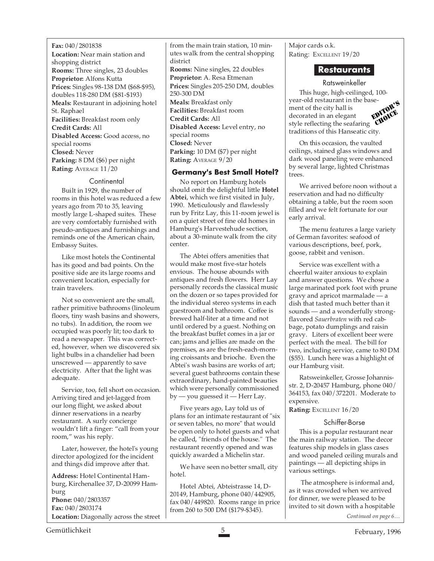**Fax:** 040/2801838 **Location:** Near main station and shopping district **Rooms:** Three singles, 23 doubles **Proprietor:** Alfons Kutta **Prices:** Singles 98-138 DM (\$68-\$95), doubles 118-280 DM (\$81-\$193) **Meals:** Restaurant in adjoining hotel St. Raphael **Facilities:** Breakfast room only **Credit Cards:** All **Disabled Access:** Good access, no special rooms **Closed:** Never **Parking:** 8 DM (\$6) per night **Rating:** AVERAGE 11/20

#### **Continental**

Built in 1929, the number of rooms in this hotel was reduced a few years ago from 70 to 35, leaving mostly large L-shaped suites. These are very comfortably furnished with pseudo-antiques and furnishings and reminds one of the American chain, Embassy Suites.

Like most hotels the Continental has its good and bad points. On the positive side are its large rooms and convenient location, especially for train travelers.

Not so convenient are the small, rather primitive bathrooms (linoleum floors, tiny wash basins and showers, no tubs). In addition, the room we occupied was poorly lit; too dark to read a newspaper. This was corrected, however, when we discovered six light bulbs in a chandelier had been unscrewed — apparently to save electricity. After that the light was adequate.

Service, too, fell short on occasion. Arriving tired and jet-lagged from our long flight, we asked about dinner reservations in a nearby restaurant. A surly concierge wouldn't lift a finger: "call from your room," was his reply.

Later, however, the hotel's young director apologized for the incident and things did improve after that.

**Address:** Hotel Continental Hamburg, Kirchenallee 37, D-20099 Hamburg **Phone:** 040/2803357 **Fax:** 040/2803174 **Location:** Diagonally across the street from the main train station, 10 minutes walk from the central shopping district **Rooms:** Nine singles, 22 doubles **Proprietor:** A. Resa Etmenan **Prices:** Singles 205-250 DM, doubles 250-300 DM **Meals:** Breakfast only **Facilities:** Breakfast room **Credit Cards:** All **Disabled Access:** Level entry, no special rooms **Closed:** Never **Parking:** 10 DM (\$7) per night **Rating:** AVERAGE 9/20

#### **Germany's Best Small Hotel?**

No report on Hamburg hotels should omit the delightful little **Hotel Abtei**, which we first visited in July, 1990. Meticulously and flawlessly run by Fritz Lay, this 11-room jewel is on a quiet street of fine old homes in Hamburg's Harvestehude section, about a 30-minute walk from the city center.

The Abtei offers amenities that would make most five-star hotels envious. The house abounds with antiques and fresh flowers. Herr Lay personally records the classical music on the dozen or so tapes provided for the individual stereo systems in each guestroom and bathroom. Coffee is brewed half-liter at a time and not until ordered by a guest. Nothing on the breakfast buffet comes in a jar or can; jams and jellies are made on the premises, as are the fresh-each-morning croissants and brioche. Even the Abtei's wash basins are works of art; several guest bathrooms contain these extraordinary, hand-painted beauties which were personally commissioned by — you guessed it — Herr Lay.

Five years ago, Lay told us of plans for an intimate restaurant of "six or seven tables, no more" that would be open only to hotel guests and what he called, "friends of the house." The restaurant recently opened and was quickly awarded a Michelin star.

We have seen no better small, city hotel.

Hotel Abtei, Abteistrasse 14, D-20149, Hamburg, phone 040/442905, fax 040/449820. Rooms range in price from 260 to 500 DM (\$179-\$345).

Major cards o.k. Rating: EXCELLENT 19/20

#### **Restaurants**

#### Ratsweinkeller

This huge, high-ceilinged, 100 year-old restaurant in the basement of the city hall is decorated in an elegant style reflecting the seafaring traditions of this Hanseatic city. EDITOR'S CHOICE

On this occasion, the vaulted ceilings, stained glass windows and dark wood paneling were enhanced by several large, lighted Christmas trees.

We arrived before noon without a reservation and had no difficulty obtaining a table, but the room soon filled and we felt fortunate for our early arrival.

The menu features a large variety of German favorites: seafood of various descriptions, beef, pork, goose, rabbit and venison.

Service was excellent with a cheerful waiter anxious to explain and answer questions. We chose a large marinated pork foot with prune gravy and apricot marmalade — a dish that tasted much better than it sounds — and a wonderfully strongflavored *Sauerbraten* with red cabbage, potato dumplings and raisin gravy. Liters of excellent beer were perfect with the meal. The bill for two, including service, came to 80 DM (\$55). Lunch here was a highlight of our Hamburg visit.

Ratsweinkeller, Grosse Johannisstr. 2, D-20457 Hamburg, phone 040/ 364153, fax 040/372201. Moderate to expensive.

**Rating:** EXCELLENT 16/20

#### Schiffer-Borse

This is a popular restaurant near the main railway station. The decor features ship models in glass cases and wood paneled ceiling murals and paintings — all depicting ships in various settings.

 The atmosphere is informal and, as it was crowded when we arrived for dinner, we were pleased to be invited to sit down with a hospitable

*Continued on page 6…*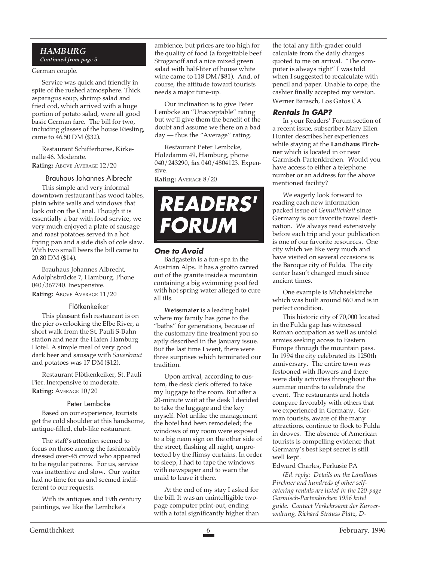#### *HAMBURG*

*Continued from page 5*

#### German couple.

Service was quick and friendly in spite of the rushed atmosphere. Thick asparagus soup, shrimp salad and fried cod, which arrived with a huge portion of potato salad, were all good basic German fare. The bill for two, including glasses of the house Riesling, came to 46.50 DM (\$32).

Restaurant Schifferborse, Kirkenalle 46. Moderate.

**Rating:** ABOVE AVERAGE 12/20

#### Brauhaus Johannes Albrecht

This simple and very informal downtown restaurant has wood tables, plain white walls and windows that look out on the Canal. Though it is essentially a bar with food service, we very much enjoyed a plate of sausage and roast potatoes served in a hot frying pan and a side dish of cole slaw. With two small beers the bill came to 20.80 DM (\$14).

Brauhaus Johannes Albrecht, Adolphsbrücke 7, Hamburg. Phone 040/367740. Inexpensive.

**Rating:** ABOVE AVERAGE 11/20

#### Flötkenkeiker

This pleasant fish restaurant is on the pier overlooking the Elbe River, a short walk from the St. Pauli S-Bahn station and near the Hafen Hamburg Hotel. A simple meal of very good dark beer and sausage with *Sauerkraut* and potatoes was 17 DM (\$12).

Restaurant Flötkenkeiker, St. Pauli Pier. Inexpensive to moderate. **Rating:** AVERAGE 10/20

#### Peter Lembcke

Based on our experience, tourists get the cold shoulder at this handsome, antique-filled, club-like restaurant.

The staff's attention seemed to focus on those among the fashionably dressed over-45 crowd who appeared to be regular patrons. For us, service was inattentive and slow. Our waiter had no time for us and seemed indifferent to our requests.

With its antiques and 19th century paintings, we like the Lembcke's

ambience, but prices are too high for the quality of food (a forgettable beef Stroganoff and a nice mixed green salad with half-liter of house white wine came to 118 DM/\$81). And, of course, the attitude toward tourists needs a major tune-up.

Our inclination is to give Peter Lembcke an "Unacceptable" rating but we'll give them the benefit of the doubt and assume we there on a bad day — thus the "Average" rating.

Restaurant Peter Lembcke, Holzdamm 49, Hamburg, phone 040/243290, fax 040/4804123. Expensive.

**Rating:** AVERAGE 8/20



#### **One to Avoid**

Badgastein is a fun-spa in the Austrian Alps. It has a grotto carved out of the granite inside a mountain containing a big swimming pool fed with hot spring water alleged to cure all ills.

**Weissmaier** is a leading hotel where my family has gone to the "baths" for generations, because of the customary fine treatment you so aptly described in the January issue. But the last time I went, there were three surprises which terminated our tradition.

Upon arrival, according to custom, the desk clerk offered to take my luggage to the room. But after a 20-minute wait at the desk I decided to take the luggage and the key myself. Not unlike the management the hotel had been remodeled; the windows of my room were exposed to a big neon sign on the other side of the street, flashing all night, unprotected by the flimsy curtains. In order to sleep, I had to tape the windows with newspaper and to warn the maid to leave it there.

At the end of my stay I asked for the bill. It was an unintelligible twopage computer print-out, ending with a total significantly higher than the total any fifth-grader could calculate from the daily charges quoted to me on arrival. "The computer is always right" I was told when I suggested to recalculate with pencil and paper. Unable to cope, the cashier finally accepted my version. Werner Barasch, Los Gatos CA

#### **Rentals In GAP?**

In your Readers' Forum section of a recent issue, subscriber Mary Ellen Hunter describes her experiences while staying at the **Landhaus Pirchner** which is located in or near Garmisch-Partenkirchen. Would you have access to either a telephone number or an address for the above mentioned facility?

We eagerly look forward to reading each new information packed issue of *Gemutlichkeit* since Germany is our favorite travel destination. We always read extensively before each trip and your publication is one of our favorite resources. One city which we like very much and have visited on several occasions is the Baroque city of Fulda. The city center hasn't changed much since ancient times.

One example is Michaelskirche which was built around 860 and is in perfect condition.

This historic city of 70,000 located in the Fulda gap has witnessed Roman occupation as well as untold armies seeking access to Eastern Europe through the mountain pass. In 1994 the city celebrated its 1250th anniversary. The entire town was festooned with flowers and there were daily activities throughout the summer months to celebrate the event. The restaurants and hotels compare favorably with others that we experienced in Germany. German tourists, aware of the many attractions, continue to flock to Fulda in droves. The absence of American tourists is compelling evidence that Germany's best kept secret is still well kept.

Edward Charles, Perkasie PA

*(Ed. reply: Details on the Landhaus Pirchner and hundreds of other selfcatering rentals are listed in the 120-page Garmisch-Partenkirchen 1996 hotel guide. Contact Verkehrsamt der Kurverwaltung, Richard Strauss Platz, D-*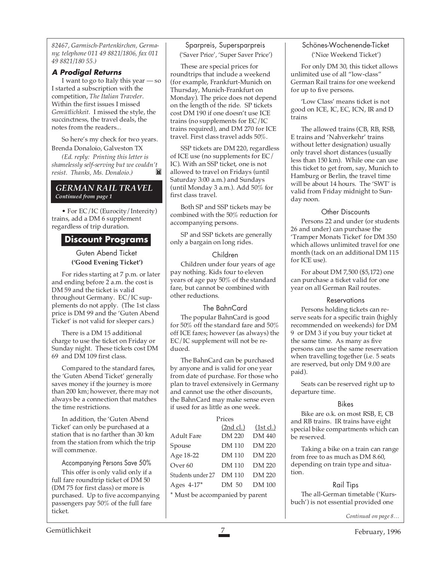*82467, Garmisch-Partenkirchen, Germany; telephone 011 49 8821/1806, fax 011 49 8821/180 55.)*

#### **A Prodigal Returns**

I want to go to Italy this year — so I started a subscription with the competition, *The Italian Traveler*. Within the first issues I missed *Gemütlichkeit.* I missed the style, the succinctness, the travel deals, the notes from the readers...

So here's my check for two years. Brenda Donaloio, Galveston TX

*(Ed. reply: Printing this letter is shamelessly self-serving but we couldn't resist. Thanks, Ms. Donaloio.)*

#### *GERMAN RAIL TRAVEL Continued from page 1*

• For EC/IC (Eurocity/Intercity) trains, add a DM 6 supplement regardless of trip duration.

#### **Discount Programs**

Guten Abend Ticket **('Good Evening Ticket')**

For rides starting at 7 p.m. or later and ending before 2 a.m. the cost is DM 59 and the ticket is valid throughout Germany. EC/IC supplements do not apply. (The 1st class price is DM 99 and the 'Guten Abend Ticket' is not valid for sleeper cars.)

There is a DM 15 additional charge to use the ticket on Friday or Sunday night. These tickets cost DM 69 and DM 109 first class.

Compared to the standard fares, the 'Guten Abend Ticket' generally saves money if the journey is more than 200 km; however, there may not always be a connection that matches the time restrictions.

In addition, the 'Guten Abend Ticket' can only be purchased at a station that is no farther than 30 km from the station from which the trip will commence.

Accompanying Persons Save 50%

This offer is only valid only if a full fare roundtrip ticket of DM 50 (DM 75 for first class) or more is purchased. Up to five accompanying passengers pay 50% of the full fare ticket.

#### Sparpreis, Supersparpreis ('Saver Price', 'Super Saver Price')

These are special prices for roundtrips that include a weekend (for example, Frankfurt-Munich on Thursday, Munich-Frankfurt on Monday). The price does not depend on the length of the ride. SP tickets cost DM 190 if one doesn't use ICE trains (no supplements for EC/IC trains required), and DM 270 for ICE travel. First class travel adds 50%.

SSP tickets are DM 220, regardless of ICE use (no supplements for EC/ IC). With an SSP ticket, one is not allowed to travel on Fridays (until Saturday 3:00 a.m.) and Sundays (until Monday 3 a.m.). Add 50% for first class travel.

Both SP and SSP tickets may be combined with the 50% reduction for accompanying persons.

SP and SSP tickets are generally only a bargain on long rides.

#### Children

Children under four years of age pay nothing. Kids four to eleven years of age pay 50% of the standard fare, but cannot be combined with other reductions.

#### The BahnCard

The popular BahnCard is good for 50% off the standard fare and 50% off ICE fares; however (as always) the EC/IC supplement will not be reduced.

The BahnCard can be purchased by anyone and is valid for one year from date of purchase. For those who plan to travel extensively in Germany and cannot use the other discounts, the BahnCard may make sense even if used for as little as one week.

#### Prices (2nd cl.) (1st cl.) Adult Fare DM 220 DM 440 Spouse DM 110 DM 220 Age 18-22 DM 110 DM 220 Over 60 DM 110 DM 220 Students under 27 DM 110 DM 220 Ages 4-17\* DM 50 DM 100 \* Must be accompanied by parent

#### Schönes-Wochenende-Ticket ('Nice Weekend Ticket')

For only DM 30, this ticket allows unlimited use of all "low-class" German Rail trains for one weekend for up to five persons.

'Low Class' means ticket is not good on ICE, IC, EC, ICN, IR and D trains

The allowed trains (CB, RB, RSB, E trains and 'Nahverkehr' trains without letter designation) usually only travel short distances (usually less than 150 km). While one can use this ticket to get from, say, Munich to Hamburg or Berlin, the travel time will be about 14 hours. The 'SWT' is valid from Friday midnight to Sunday noon.

#### Other Discounts

Persons 22 and under (or students 26 and under) can purchase the 'Tramper Monats Ticket' for DM 350 which allows unlimited travel for one month (tack on an additional DM 115 for ICE use).

For about DM 7,500 (\$5,172) one can purchase a ticket valid for one year on all German Rail routes.

#### **Reservations**

Persons holding tickets can reserve seats for a specific train (highly recommended on weekends) for DM 9 or DM 3 if you buy your ticket at the same time. As many as five persons can use the same reservation when travelling together (i.e. 5 seats are reserved, but only DM 9.00 are paid).

Seats can be reserved right up to departure time.

#### Bikes

Bike are o.k. on most RSB, E, CB and RB trains. IR trains have eight special bike compartments which can be reserved.

Taking a bike on a train can range from free to as much as DM 8.60, depending on train type and situation.

#### Rail Tips

The all-German timetable ('Kursbuch') is not essential provided one

*Continued on page 8…*